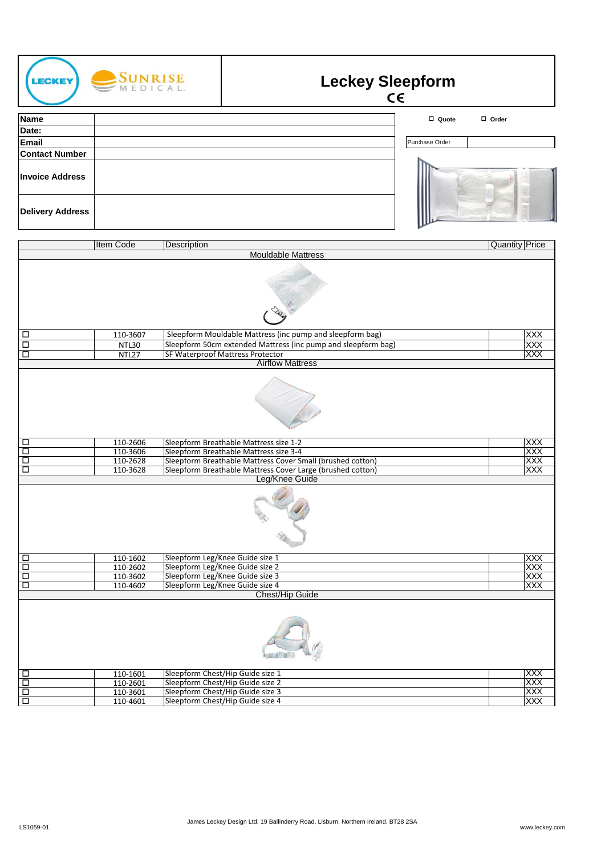| <b>LECKEY</b>                  | $\text{SUNRISE}$<br>$M \text{EDICAL}$ |             | <b>Leckey Sleepform</b><br>$\epsilon$                                                                                    |                |                       |
|--------------------------------|---------------------------------------|-------------|--------------------------------------------------------------------------------------------------------------------------|----------------|-----------------------|
| <b>Name</b>                    |                                       |             |                                                                                                                          | □ Quote        | $\Box$ Order          |
| Date:                          |                                       |             |                                                                                                                          |                |                       |
| Email                          |                                       |             |                                                                                                                          | Purchase Order |                       |
| <b>Contact Number</b>          |                                       |             |                                                                                                                          |                |                       |
| <b>Invoice Address</b>         |                                       |             |                                                                                                                          |                |                       |
| <b>Delivery Address</b>        |                                       |             |                                                                                                                          |                |                       |
|                                | <b>Item Code</b>                      | Description | <b>Mouldable Mattress</b>                                                                                                |                | <b>Quantity Price</b> |
|                                |                                       |             |                                                                                                                          |                |                       |
| $\Box$                         | 110-3607                              |             | Sleepform Mouldable Mattress (inc pump and sleepform bag)                                                                |                | <b>XXX</b>            |
| $\overline{\Box}$              | NTL30                                 |             | Sleepform 50cm extended Mattress (inc pump and sleepform bag)                                                            |                | XXX                   |
| $\Box$                         | NTL27                                 |             | <b>SF Waterproof Mattress Protector</b><br><b>Airflow Mattress</b>                                                       |                | XXX                   |
|                                |                                       |             |                                                                                                                          |                |                       |
| □                              | 110-2606                              |             | Sleepform Breathable Mattress size 1-2                                                                                   |                | XXX                   |
| Ξ                              | 110-3606                              |             | Sleepform Breathable Mattress size 3-4                                                                                   |                | XXX                   |
| Ξ<br>$\Box$                    | 110-2628<br>110-3628                  |             | Sleepform Breathable Mattress Cover Small (brushed cotton)<br>Sleepform Breathable Mattress Cover Large (brushed cotton) |                | XXX<br>XXX            |
|                                |                                       |             | Leg/Knee Guide                                                                                                           |                |                       |
|                                |                                       |             |                                                                                                                          |                |                       |
| $\Box$                         | 110-1602                              |             | Sleepform Leg/Knee Guide size 1                                                                                          |                | XXX                   |
| $\overline{\square}$<br>$\Box$ | 110-2602<br>110-3602                  |             | Sleepform Leg/Knee Guide size 2<br>Sleepform Leg/Knee Guide size 3                                                       |                | <b>XXX</b><br>XXX     |
| $\overline{\Box}$              | 110-4602                              |             | Sleepform Leg/Knee Guide size 4                                                                                          |                | XXX                   |
| 미미미                            | 110-1601<br>110-2601                  |             | Chest/Hip Guide<br>Sleepform Chest/Hip Guide size 1<br>Sleepform Chest/Hip Guide size 2                                  |                | XXX<br>XXX            |
|                                | 110-3601                              |             | Sleepform Chest/Hip Guide size 3                                                                                         |                | <b>XXX</b>            |
|                                | 110-4601                              |             | Sleepform Chest/Hip Guide size 4                                                                                         |                | <b>XXX</b>            |